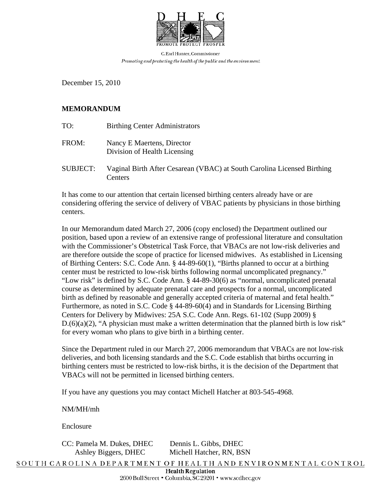

C. Earl Hunter, Commissioner Promoting and protecting the health of the public and the environment.

December 15, 2010

## **MEMORANDUM**

- TO: Birthing Center Administrators
- FROM: Nancy E Maertens, Director Division of Health Licensing
- SUBJECT: Vaginal Birth After Cesarean (VBAC) at South Carolina Licensed Birthing **Centers**

It has come to our attention that certain licensed birthing centers already have or are considering offering the service of delivery of VBAC patients by physicians in those birthing centers.

In our Memorandum dated March 27, 2006 (copy enclosed) the Department outlined our position, based upon a review of an extensive range of professional literature and consultation with the Commissioner's Obstetrical Task Force, that VBACs are not low-risk deliveries and are therefore outside the scope of practice for licensed midwives. As established in Licensing of Birthing Centers: S.C. Code Ann. § 44-89-60(1), "Births planned to occur at a birthing center must be restricted to low-risk births following normal uncomplicated pregnancy." "Low risk" is defined by S.C. Code Ann. § 44-89-30(6) as "normal, uncomplicated prenatal course as determined by adequate prenatal care and prospects for a normal, uncomplicated birth as defined by reasonable and generally accepted criteria of maternal and fetal health." Furthermore, as noted in S.C. Code § 44-89-60(4) and in Standards for Licensing Birthing Centers for Delivery by Midwives: 25A S.C. Code Ann. Regs. 61-102 (Supp 2009) §  $D(6)(a)(2)$ , "A physician must make a written determination that the planned birth is low risk" for every woman who plans to give birth in a birthing center.

Since the Department ruled in our March 27, 2006 memorandum that VBACs are not low-risk deliveries, and both licensing standards and the S.C. Code establish that births occurring in birthing centers must be restricted to low-risk births, it is the decision of the Department that VBACs will not be permitted in licensed birthing centers.

If you have any questions you may contact Michell Hatcher at 803-545-4968.

NM/MH/mh

Enclosure

CC: Pamela M. Dukes, DHEC Dennis L. Gibbs, DHEC

Ashley Biggers, DHEC Michell Hatcher, RN, BSN

SOUTH CAROLINA DEPARTMENT OF HEALTH AND ENVIRONMENTAL CONTROL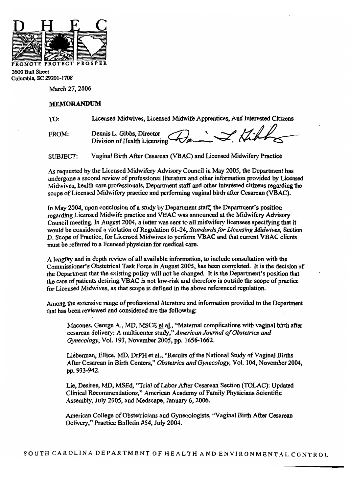

2600 Bull Street Columbia, SC 29201-1708

March 27, 2006

## **MEMORANDUM**

Licensed Midwives, Licensed Midwife Apprentices, And Interested Citizens TO:

Dennis L. Gibbs, Director<br>Division of Health Licensing **FROM:** 

**SUBJECT:** Vaginal Birth After Cesarean (VBAC) and Licensed Midwifery Practice

As requested by the Licensed Midwifery Advisory Council in May 2005, the Department has undergone a second review of professional literature and other information provided by Licensed Midwives, health care professionals, Department staff and other interested citizens regarding the scope of Licensed Midwifery practice and performing vaginal birth after Cesarean (VBAC).

In May 2004, upon conclusion of a study by Department staff, the Department's position regarding Licensed Midwife practice and VBAC was announced at the Midwifery Advisory Council meeting. In August 2004, a letter was sent to all midwifery licensees specifying that it would be considered a violation of Regulation 61-24, Standards for Licensing Midwives, Section D. Scope of Practice, for Licensed Midwives to perform VBAC and that current VBAC clients must be referred to a licensed physician for medical care.

A lengthy and in depth review of all available information, to include consultation with the Commissioner's Obstetrical Task Force in August 2005, has been completed. It is the decision of the Department that the existing policy will not be changed. It is the Department's position that the care of patients desiring VBAC is not low-risk and therefore is outside the scope of practice for Licensed Midwives, as that scope is defined in the above referenced regulation.

Among the extensive range of professional literature and information provided to the Department that has been reviewed and considered are the following:

Macones, George A., MD, MSCE et al., "Maternal complications with vaginal birth after cesarean delivery: A multicenter study," American Journal of Obstetrics and Gynecology, Vol. 193, November 2005, pp. 1656-1662.

Lieberman, Ellice, MD, DrPH et al., "Results of the National Study of Vaginal Births After Cesarean in Birth Centers," Obstetrics and Gynecology, Vol. 104, November 2004, pp. 933-942.

Lie, Desiree, MD, MSEd, "Trial of Labor After Cesarean Section (TOLAC): Updated Clinical Recommendations," American Academy of Family Physicians Scientific Assembly, July 2005, and Medscape, January 6, 2006.

American College of Obstetricians and Gynecologists, "Vaginal Birth After Cesarean Delivery," Practice Bulletin #54, July 2004.